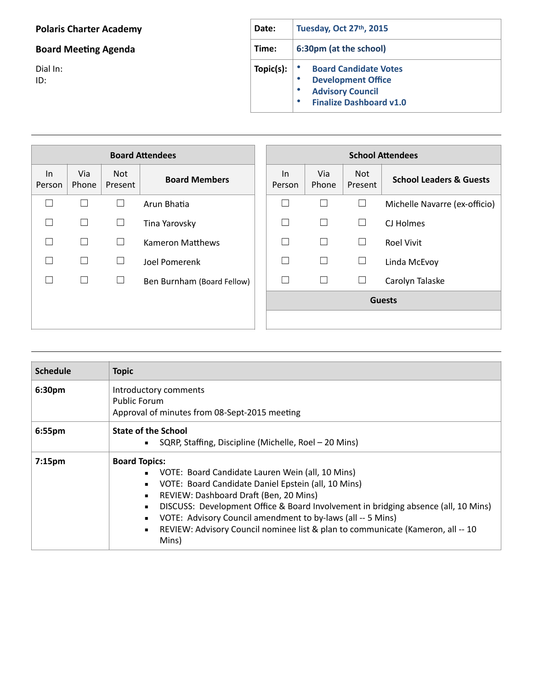## **Polaris Charter Academy**

## **Board Meeting Agenda**

Dial In: ID: 

| <b>Date:</b> | Tuesday, Oct 27th, 2015                                                                                                |  |  |
|--------------|------------------------------------------------------------------------------------------------------------------------|--|--|
| Time:        | 6:30pm (at the school)                                                                                                 |  |  |
| Topic(s):    | <b>Board Candidate Votes</b><br><b>Development Office</b><br><b>Advisory Council</b><br><b>Finalize Dashboard v1.0</b> |  |  |

| <b>Board Attendees</b> |              |                       |                            |               |              | <b>School Attendees</b> |                                    |
|------------------------|--------------|-----------------------|----------------------------|---------------|--------------|-------------------------|------------------------------------|
| In<br>Person           | Via<br>Phone | <b>Not</b><br>Present | <b>Board Members</b>       | In<br>Person  | Via<br>Phone | Not.<br>Present         | <b>School Leaders &amp; Guests</b> |
|                        | L            | $\Box$                | Arun Bhatia                | П             | $\Box$       | $\Box$                  | Michelle Navarre (ex-officio)      |
|                        | П            | $\Box$                | Tina Yarovsky              | ×.            | П            | $\Box$                  | CJ Holmes                          |
|                        | П            | $\Box$                | <b>Kameron Matthews</b>    | ΓТ            | П            | $\Box$                  | <b>Roel Vivit</b>                  |
|                        | Г            | $\Box$                | Joel Pomerenk              | Π             | $\Box$       | $\Box$                  | Linda McEvoy                       |
|                        | П            | ⊔                     | Ben Burnham (Board Fellow) |               |              | $\Box$                  | Carolyn Talaske                    |
|                        |              |                       |                            | <b>Guests</b> |              |                         |                                    |
|                        |              |                       |                            |               |              |                         |                                    |

| <b>Schedule</b>    | <b>Topic</b>                                                                                                                                                                                                                                                                                                                                                                                                                                                                          |
|--------------------|---------------------------------------------------------------------------------------------------------------------------------------------------------------------------------------------------------------------------------------------------------------------------------------------------------------------------------------------------------------------------------------------------------------------------------------------------------------------------------------|
| 6:30pm             | Introductory comments<br><b>Public Forum</b><br>Approval of minutes from 08-Sept-2015 meeting                                                                                                                                                                                                                                                                                                                                                                                         |
| 6:55pm             | <b>State of the School</b><br>SQRP, Staffing, Discipline (Michelle, Roel - 20 Mins)                                                                                                                                                                                                                                                                                                                                                                                                   |
| 7:15 <sub>pm</sub> | <b>Board Topics:</b><br>VOTE: Board Candidate Lauren Wein (all, 10 Mins)<br>VOTE: Board Candidate Daniel Epstein (all, 10 Mins)<br>$\blacksquare$<br>REVIEW: Dashboard Draft (Ben, 20 Mins)<br>$\blacksquare$<br>DISCUSS: Development Office & Board Involvement in bridging absence (all, 10 Mins)<br>٠<br>VOTE: Advisory Council amendment to by-laws (all -- 5 Mins)<br>REVIEW: Advisory Council nominee list & plan to communicate (Kameron, all -- 10<br>$\blacksquare$<br>Mins) |